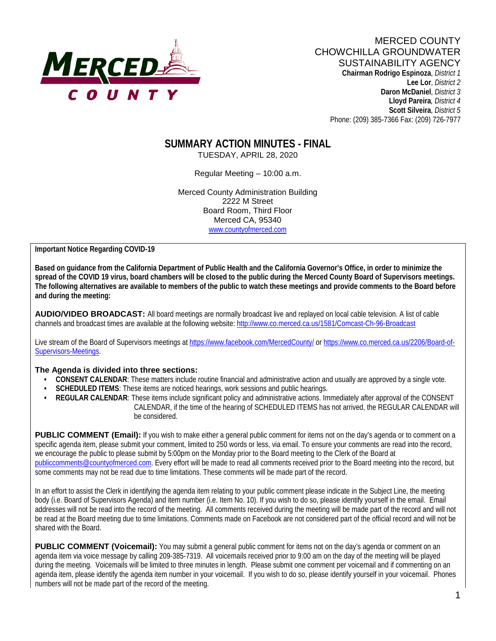

**Lee Lor**, *District 2*  **Daron McDaniel**, *District 3* **Lloyd Pareira***, District 4*  **Scott Silveira**, *District 5* Phone: (209) 385-7366 Fax: (209) 726-7977

# **SUMMARY ACTION MINUTES - FINAL**

TUESDAY, APRIL 28, 2020

Regular Meeting – 10:00 a.m.

Merced County Administration Building 2222 M Street Board Room, Third Floor Merced CA, 95340 www.countyofmerced.com

**Important Notice Regarding COVID-19**

**Based on guidance from the California Department of Public Health and the California Governor's Office, in order to minimize the spread of the COVID 19 virus, board chambers will be closed to the public during the Merced County Board of Supervisors meetings. The following alternatives are available to members of the public to watch these meetings and provide comments to the Board before and during the meeting:**

**AUDIO/VIDEO BROADCAST:** All board meetings are normally broadcast live and replayed on local cable television. A list of cable channels and broadcast times are available at the following website[: http://www.co.merced.ca.us/1581/Comcast-Ch-96-Broadcast](http://www.co.merced.ca.us/1581/Comcast-Ch-96-Broadcast)

Live stream of the Board of Supervisors meetings at<https://www.facebook.com/MercedCounty/> o[r https://www.co.merced.ca.us/2206/Board-of-](https://www.co.merced.ca.us/2206/Board-of-Supervisors-Meetings)[Supervisors-Meetings.](https://www.co.merced.ca.us/2206/Board-of-Supervisors-Meetings)

#### **The Agenda is divided into three sections:**

- **CONSENT CALENDAR**: These matters include routine financial and administrative action and usually are approved by a single vote.
- **SCHEDULED ITEMS:** These items are noticed hearings, work sessions and public hearings.
- **REGULAR CALENDAR:** These items include significant policy and administrative actions. Immediately after approval of the CONSENT CALENDAR, if the time of the hearing of SCHEDULED ITEMS has not arrived, the REGULAR CALENDAR will be considered.

**PUBLIC COMMENT (Email):** If you wish to make either a general public comment for items not on the day's agenda or to comment on a specific agenda item, please submit your comment, limited to 250 words or less, via email. To ensure your comments are read into the record, we encourage the public to please submit by 5:00pm on the Monday prior to the Board meeting to the Clerk of the Board at [publiccomments@countyofmerced.com.](mailto:publiccomments@countyofmerced.com) Every effort will be made to read all comments received prior to the Board meeting into the record, but some comments may not be read due to time limitations. These comments will be made part of the record.

In an effort to assist the Clerk in identifying the agenda item relating to your public comment please indicate in the Subject Line, the meeting body (i.e. Board of Supervisors Agenda) and item number (i.e. Item No. 10). If you wish to do so, please identify yourself in the email. Email addresses will not be read into the record of the meeting. All comments received during the meeting will be made part of the record and will not be read at the Board meeting due to time limitations. Comments made on Facebook are not considered part of the official record and will not be shared with the Board.

**PUBLIC COMMENT (Voicemail):** You may submit a general public comment for items not on the day's agenda or comment on an agenda item via voice message by calling 209-385-7319. All voicemails received prior to 9:00 am on the day of the meeting will be played during the meeting. Voicemails will be limited to three minutes in length. Please submit one comment per voicemail and if commenting on an agenda item, please identify the agenda item number in your voicemail. If you wish to do so, please identify yourself in your voicemail. Phones numbers will not be made part of the record of the meeting.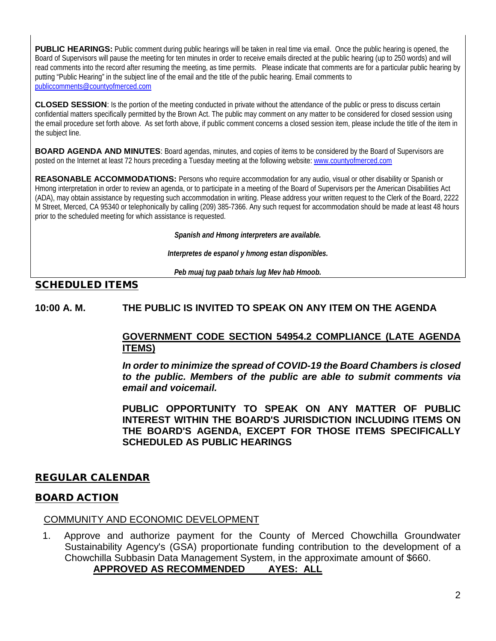PUBLIC HEARINGS: Public comment during public hearings will be taken in real time via email. Once the public hearing is opened, the Board of Supervisors will pause the meeting for ten minutes in order to receive emails directed at the public hearing (up to 250 words) and will read comments into the record after resuming the meeting, as time permits. Please indicate that comments are for a particular public hearing by putting "Public Hearing" in the subject line of the email and the title of the public hearing. Email comments to [publiccomments@countyofmerced.com](mailto:publiccomments@countyofmerced.com)

**CLOSED SESSION**: Is the portion of the meeting conducted in private without the attendance of the public or press to discuss certain confidential matters specifically permitted by the Brown Act. The public may comment on any matter to be considered for closed session using the email procedure set forth above. As set forth above, if public comment concerns a closed session item, please include the title of the item in the subject line.

**BOARD AGENDA AND MINUTES:** Board agendas, minutes, and copies of items to be considered by the Board of Supervisors are posted on the Internet at least 72 hours preceding a Tuesday meeting at the following website: www.countyofmerced.com

**REASONABLE ACCOMMODATIONS:** Persons who require accommodation for any audio, visual or other disability or Spanish or Hmong interpretation in order to review an agenda, or to participate in a meeting of the Board of Supervisors per the American Disabilities Act (ADA), may obtain assistance by requesting such accommodation in writing. Please address your written request to the Clerk of the Board, 2222 M Street, Merced, CA 95340 or telephonically by calling (209) 385-7366. Any such request for accommodation should be made at least 48 hours prior to the scheduled meeting for which assistance is requested.

*Spanish and Hmong interpreters are available.*

*Interpretes de espanol y hmong estan disponibles.*

*Peb muaj tug paab txhais lug Mev hab Hmoob.* 

# SCHEDULED ITEMS

**10:00 A. M. THE PUBLIC IS INVITED TO SPEAK ON ANY ITEM ON THE AGENDA**

# **GOVERNMENT CODE SECTION 54954.2 COMPLIANCE (LATE AGENDA ITEMS)**

*In order to minimize the spread of COVID-19 the Board Chambers is closed to the public. Members of the public are able to submit comments via email and voicemail.*

**PUBLIC OPPORTUNITY TO SPEAK ON ANY MATTER OF PUBLIC INTEREST WITHIN THE BOARD'S JURISDICTION INCLUDING ITEMS ON THE BOARD'S AGENDA, EXCEPT FOR THOSE ITEMS SPECIFICALLY SCHEDULED AS PUBLIC HEARINGS** 

## REGULAR CALENDAR

## BOARD ACTION

## COMMUNITY AND ECONOMIC DEVELOPMENT

1. Approve and authorize payment for the County of Merced Chowchilla Groundwater Sustainability Agency's (GSA) proportionate funding contribution to the development of a Chowchilla Subbasin Data Management System, in the approximate amount of \$660. **APPROVED AS RECOMMENDED AYES: ALL**